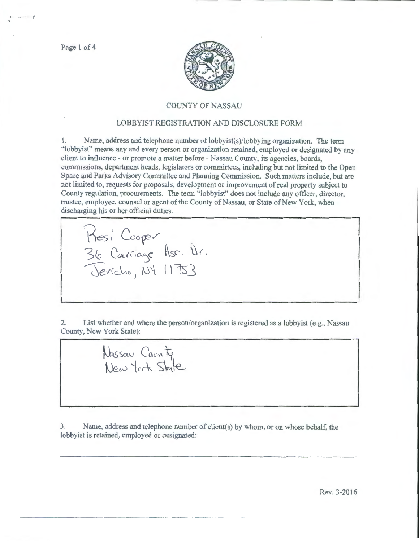Page 1 of 4

 $. - 7$ 



## COUNTY OF NASSAU

## LOBBYIST REGISTRATION AND DISCLOSURE FORM

1. Name. address and telephone number of lobbyist(s)/lobbying organization. The term "lobbyist" means any and every person or organization retained, employed or designated by any client to influence- or promote a matter before- Nassau County, its agencies, boards, commissions, department heads. legislators or committees, including but not limited to the Open Space and Parks Advisory Committee and Planning Commission. Such matters include, but arc not limited to, requests for proposals, development or improvement of real property subject to County regulation, procurements. The term "lobbyist" does not include any officer, director, trustee, employee, counsel or agent of the County of Nassau, or State of New York, when discharging his or her official duties.

2. List whether and where the person/organization is registered as a lobbyist (e.g., Nassau County, New York State):

Nassau County<br>New York State

36 Carriage Ase. Dr.

 $i$ cho,  $N\$   $11753$ 

Resi Cooper

3. Name, address and telephone number of client(s) by whom, or on whose behalf. the lobbyist is retained, employed or designated: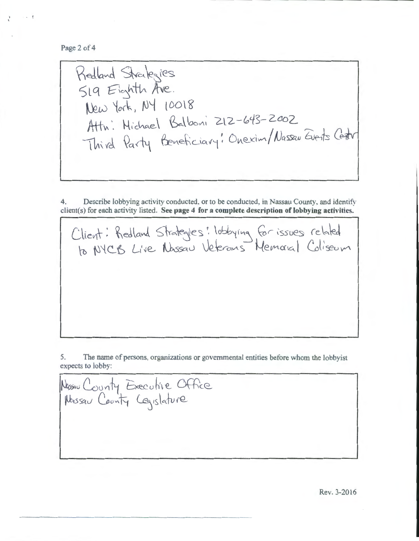Page 2 of 4

Redland Strategies SIG Eighth Ave. New York, NY 10018 Attn: Michael Balboni 212-643-2002 Attn. Michael Dalbon 212 015

4. Describe lobbying activity conducted, or to be conducted, in Nassau County, and identify client(s) for each activity listed. **See page 4 for a complete description of lobbying activities.** 

Client: Redland Strategles: lobbying for issues related  $\tau_b$  NYCB Live Nassau Veterans Memoral Coliseum

5. The name of persons, organizations or governmental entities before whom the lobbyist expects to lobby:

Nassau County Executive Office  $\mu$ ussau County CEqislature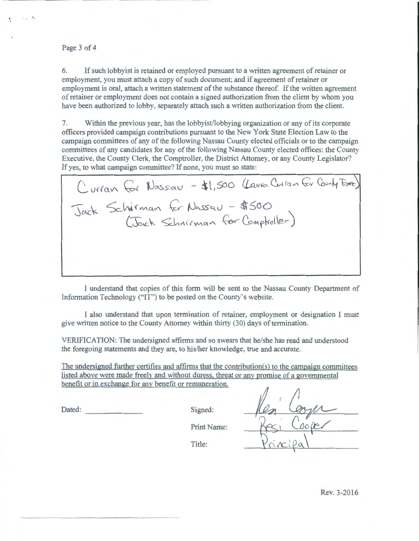## Page 3 of 4

 $\sim$  " $\gamma$ "

6. If such lobbyist is retained or employed pursuant to a written agreement of retainer or employment, you must attach a copy of such document; and if agreement of retainer or employment is oral, attach a written statement of the substance thereof. If the written agreement of retainer or employment does not contain a signed authorization from the client by whom you have been authorized to lobby. separately attach such a written authorization from the client.

7. Within the previous year, has the lobbyist/lobbying organization or any of its corporate officers provided campaign contributions pursuant to the New York State Election Law to the campaign committees of any of the following Nassau County elected officials or to the campaign committees of any candidates for any of the following Nassau County elected otfices: the County Executive, the County Clerk, the Comptroller, the District Attorney, or any County Legislator? If yes, to what campaign committee? If none, you must so state:

( Urran for Nassau - \$1,500 (Laura Curan for County Exec) Jack Schirman for Nassau - \$500  $(\text{Jack Schnirman} \, \text{for Complete}).$ 

I understand that copies of this form will be sent to the Nassau County Department of Information Technology (''IT") to be posted on the County's website.

I also understand that upon termination of retainer, employment or designation I must give written notice to the County Attorney within thirty (30) days of termination.

VERIFICATION: The undersigned affirms and so swears that he/she has read and understood the foregoing statements and they are, to his/her knowledge, true and accurate.

The undersigned further certifies and affirms that the contribution(s) to the campaign committees listed above were made freely and without duress. threat or any promise of a governmental benefit or in exchange for any benefit or remuneration.

Dated: Signed: Signed:

Print Name:

Title: